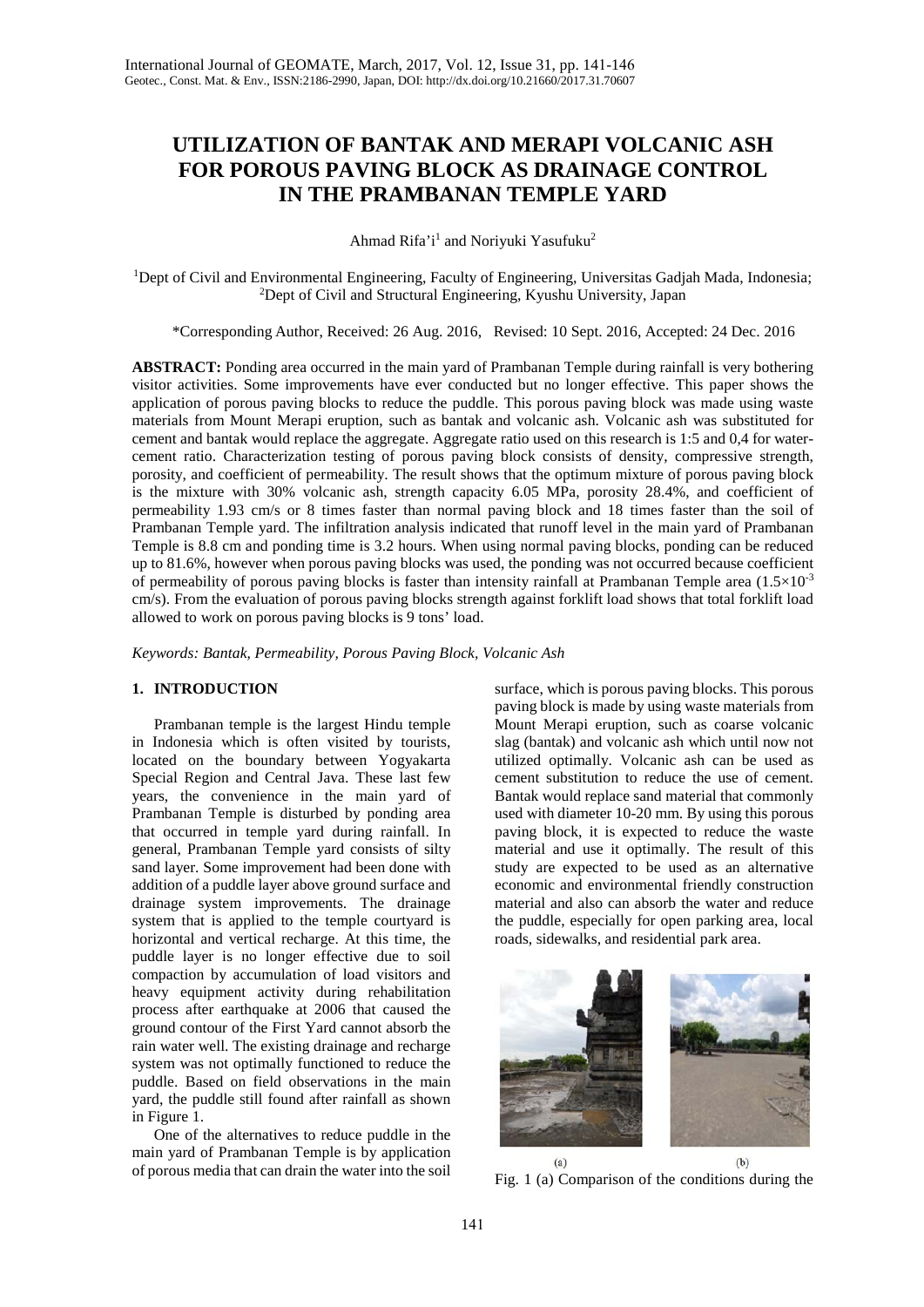# **UTILIZATION OF BANTAK AND MERAPI VOLCANIC ASH FOR POROUS PAVING BLOCK AS DRAINAGE CONTROL IN THE PRAMBANAN TEMPLE YARD**

Ahmad Rifa'i<sup>1</sup> and Norivuki Yasufuku<sup>2</sup>

<sup>1</sup>Dept of Civil and Environmental Engineering, Faculty of Engineering, Universitas Gadjah Mada, Indonesia; 2 Dept of Civil and Structural Engineering, Kyushu University, Japan

\*Corresponding Author, Received: 26 Aug. 2016, Revised: 10 Sept. 2016, Accepted: 24 Dec. 2016

**ABSTRACT:** Ponding area occurred in the main yard of Prambanan Temple during rainfall is very bothering visitor activities. Some improvements have ever conducted but no longer effective. This paper shows the application of porous paving blocks to reduce the puddle. This porous paving block was made using waste materials from Mount Merapi eruption, such as bantak and volcanic ash. Volcanic ash was substituted for cement and bantak would replace the aggregate. Aggregate ratio used on this research is 1:5 and 0,4 for watercement ratio. Characterization testing of porous paving block consists of density, compressive strength, porosity, and coefficient of permeability. The result shows that the optimum mixture of porous paving block is the mixture with 30% volcanic ash, strength capacity 6.05 MPa, porosity 28.4%, and coefficient of permeability 1.93 cm/s or 8 times faster than normal paving block and 18 times faster than the soil of Prambanan Temple yard. The infiltration analysis indicated that runoff level in the main yard of Prambanan Temple is 8.8 cm and ponding time is 3.2 hours. When using normal paving blocks, ponding can be reduced up to 81.6%, however when porous paving blocks was used, the ponding was not occurred because coefficient of permeability of porous paving blocks is faster than intensity rainfall at Prambanan Temple area  $(1.5\times10^{-3}$ cm/s). From the evaluation of porous paving blocks strength against forklift load shows that total forklift load allowed to work on porous paving blocks is 9 tons' load.

*Keywords: Bantak, Permeability, Porous Paving Block, Volcanic Ash*

## **1. INTRODUCTION**

Prambanan temple is the largest Hindu temple in Indonesia which is often visited by tourists, located on the boundary between Yogyakarta Special Region and Central Java. These last few years, the convenience in the main yard of Prambanan Temple is disturbed by ponding area that occurred in temple yard during rainfall. In general, Prambanan Temple yard consists of silty sand layer. Some improvement had been done with addition of a puddle layer above ground surface and drainage system improvements. The drainage system that is applied to the temple courtyard is horizontal and vertical recharge. At this time, the puddle layer is no longer effective due to soil compaction by accumulation of load visitors and heavy equipment activity during rehabilitation process after earthquake at 2006 that caused the ground contour of the First Yard cannot absorb the rain water well. The existing drainage and recharge system was not optimally functioned to reduce the puddle. Based on field observations in the main yard, the puddle still found after rainfall as shown in Figure 1.

One of the alternatives to reduce puddle in the main yard of Prambanan Temple is by application of porous media that can drain the water into the soil

surface, which is porous paving blocks. This porous paving block is made by using waste materials from Mount Merapi eruption, such as coarse volcanic slag (bantak) and volcanic ash which until now not utilized optimally. Volcanic ash can be used as cement substitution to reduce the use of cement. Bantak would replace sand material that commonly used with diameter 10-20 mm. By using this porous paving block, it is expected to reduce the waste material and use it optimally. The result of this study are expected to be used as an alternative economic and environmental friendly construction material and also can absorb the water and reduce the puddle, especially for open parking area, local roads, sidewalks, and residential park area.



Fig. 1 (a) Comparison of the conditions during the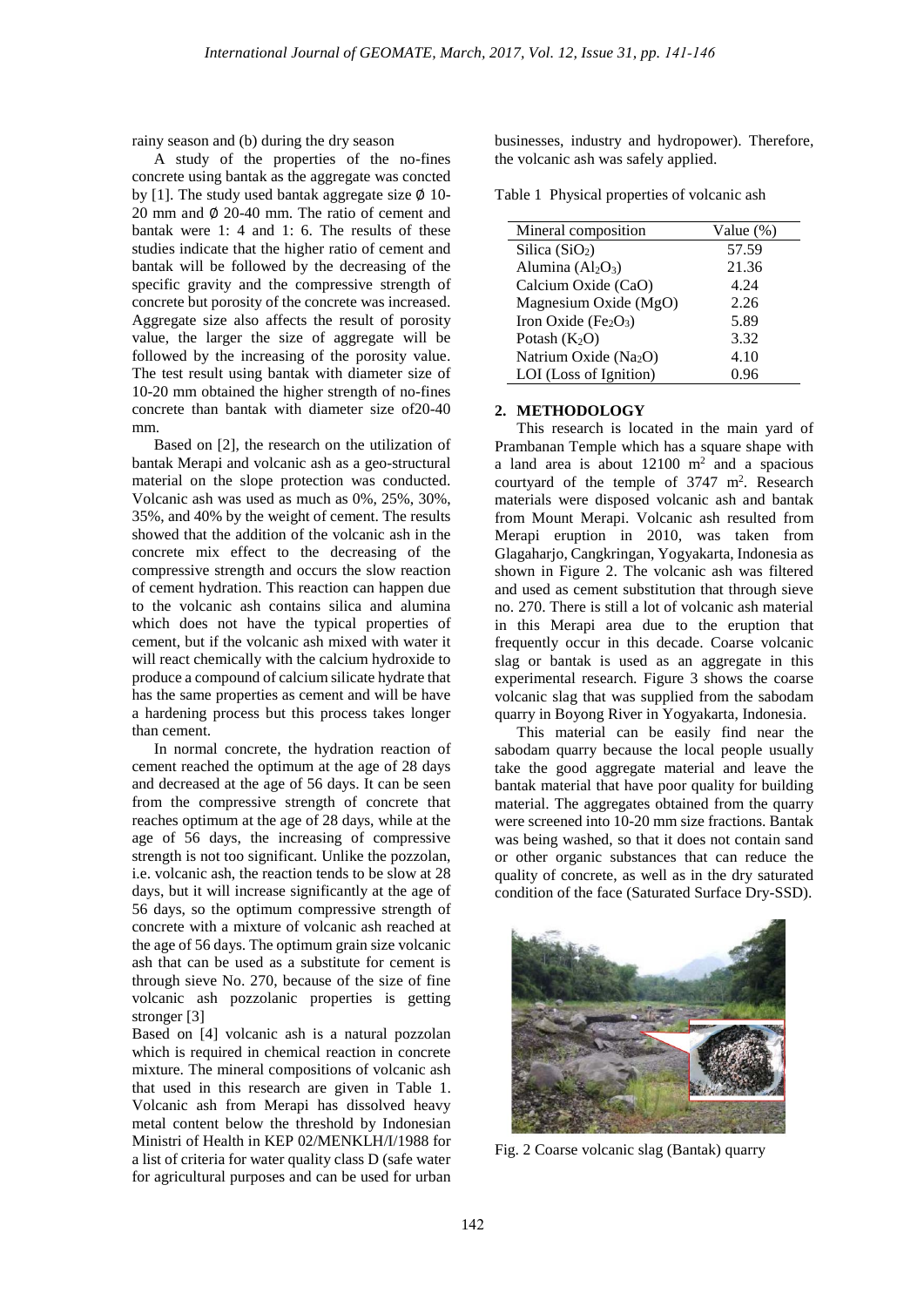rainy season and (b) during the dry season

A study of the properties of the no-fines concrete using bantak as the aggregate was concted by [1]. The study used bantak aggregate size  $\emptyset$  10-20 mm and ∅ 20-40 mm. The ratio of cement and bantak were 1: 4 and 1: 6. The results of these studies indicate that the higher ratio of cement and bantak will be followed by the decreasing of the specific gravity and the compressive strength of concrete but porosity of the concrete was increased. Aggregate size also affects the result of porosity value, the larger the size of aggregate will be followed by the increasing of the porosity value. The test result using bantak with diameter size of 10-20 mm obtained the higher strength of no-fines concrete than bantak with diameter size of20-40 mm.

Based on [2], the research on the utilization of bantak Merapi and volcanic ash as a geo-structural material on the slope protection was conducted. Volcanic ash was used as much as 0%, 25%, 30%, 35%, and 40% by the weight of cement. The results showed that the addition of the volcanic ash in the concrete mix effect to the decreasing of the compressive strength and occurs the slow reaction of cement hydration. This reaction can happen due to the volcanic ash contains silica and alumina which does not have the typical properties of cement, but if the volcanic ash mixed with water it will react chemically with the calcium hydroxide to produce a compound of calcium silicate hydrate that has the same properties as cement and will be have a hardening process but this process takes longer than cement.

In normal concrete, the hydration reaction of cement reached the optimum at the age of 28 days and decreased at the age of 56 days. It can be seen from the compressive strength of concrete that reaches optimum at the age of 28 days, while at the age of 56 days, the increasing of compressive strength is not too significant. Unlike the pozzolan, i.e. volcanic ash, the reaction tends to be slow at 28 days, but it will increase significantly at the age of 56 days, so the optimum compressive strength of concrete with a mixture of volcanic ash reached at the age of 56 days. The optimum grain size volcanic ash that can be used as a substitute for cement is through sieve No. 270, because of the size of fine volcanic ash pozzolanic properties is getting stronger [3]

Based on [4] volcanic ash is a natural pozzolan which is required in chemical reaction in concrete mixture. The mineral compositions of volcanic ash that used in this research are given in Table 1. Volcanic ash from Merapi has dissolved heavy metal content below the threshold by Indonesian Ministri of Health in KEP 02/MENKLH/I/1988 for a list of criteria for water quality class D (safe water for agricultural purposes and can be used for urban

businesses, industry and hydropower). Therefore, the volcanic ash was safely applied.

Table 1 Physical properties of volcanic ash

| Mineral composition               | Value $(\%)$ |
|-----------------------------------|--------------|
| Silica $(SiO2)$                   | 57.59        |
| Alumina $(Al_2O_3)$               | 21.36        |
| Calcium Oxide (CaO)               | 4.24         |
| Magnesium Oxide (MgO)             | 2.26         |
| Iron Oxide $(Fe2O3)$              | 5.89         |
| Potash $(K_2O)$                   | 3.32         |
| Natrium Oxide (Na <sub>2</sub> O) | 4.10         |
| LOI (Loss of Ignition)            | 0.96         |

## **2. METHODOLOGY**

This research is located in the main yard of Prambanan Temple which has a square shape with a land area is about  $12100 \text{ m}^2$  and a spacious courtyard of the temple of  $3747 \text{ m}^2$ . Research materials were disposed volcanic ash and bantak from Mount Merapi. Volcanic ash resulted from Merapi eruption in 2010, was taken from Glagaharjo, Cangkringan, Yogyakarta, Indonesia as shown in Figure 2. The volcanic ash was filtered and used as cement substitution that through sieve no. 270. There is still a lot of volcanic ash material in this Merapi area due to the eruption that frequently occur in this decade. Coarse volcanic slag or bantak is used as an aggregate in this experimental research. Figure 3 shows the coarse volcanic slag that was supplied from the sabodam quarry in Boyong River in Yogyakarta, Indonesia.

This material can be easily find near the sabodam quarry because the local people usually take the good aggregate material and leave the bantak material that have poor quality for building material. The aggregates obtained from the quarry were screened into 10-20 mm size fractions. Bantak was being washed, so that it does not contain sand or other organic substances that can reduce the quality of concrete, as well as in the dry saturated condition of the face (Saturated Surface Dry-SSD).



Fig. 2 Coarse volcanic slag (Bantak) quarry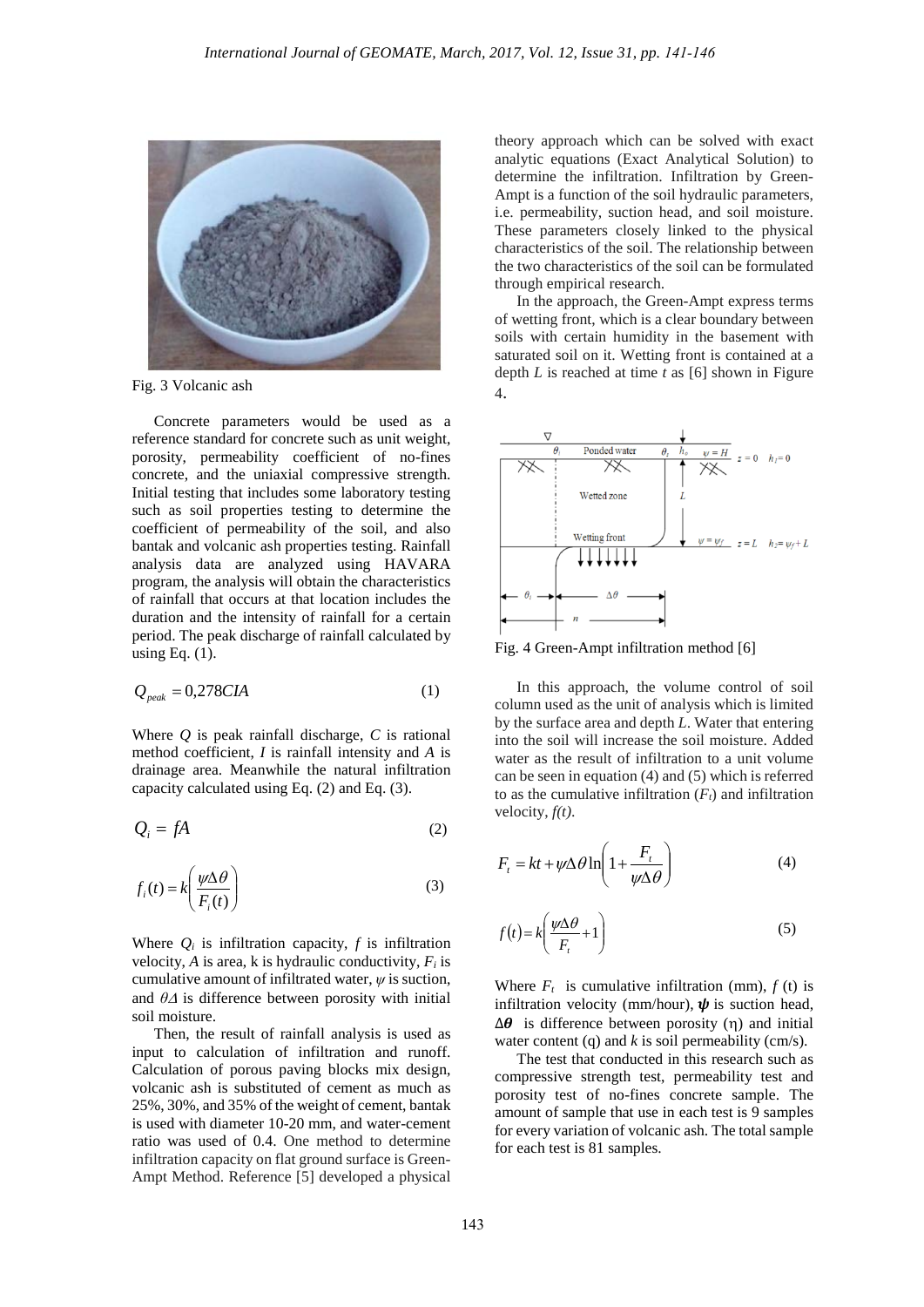

Fig. 3 Volcanic ash

Concrete parameters would be used as a reference standard for concrete such as unit weight, porosity, permeability coefficient of no-fines concrete, and the uniaxial compressive strength. Initial testing that includes some laboratory testing such as soil properties testing to determine the coefficient of permeability of the soil, and also bantak and volcanic ash properties testing. Rainfall analysis data are analyzed using HAVARA program, the analysis will obtain the characteristics of rainfall that occurs at that location includes the duration and the intensity of rainfall for a certain period. The peak discharge of rainfall calculated by using Eq. (1).

$$
Q_{peak} = 0,278CIA
$$
 (1)

Where *Q* is peak rainfall discharge, *C* is rational method coefficient, *I* is rainfall intensity and *A* is drainage area. Meanwhile the natural infiltration capacity calculated using Eq. (2) and Eq. (3).

$$
Q_i = fA \tag{2}
$$

$$
f_i(t) = k \left( \frac{\psi \Delta \theta}{F_i(t)} \right)
$$
 (3)

Where  $Q_i$  is infiltration capacity,  $f$  is infiltration velocity,  $A$  is area,  $k$  is hydraulic conductivity,  $F_i$  is cumulative amount of infiltrated water, *ψ* is suction, and *θ*<sup>∆</sup> is difference between porosity with initial soil moisture.

Then, the result of rainfall analysis is used as input to calculation of infiltration and runoff. Calculation of porous paving blocks mix design, volcanic ash is substituted of cement as much as 25%, 30%, and 35% of the weight of cement, bantak is used with diameter 10-20 mm, and water-cement ratio was used of 0.4. One method to determine infiltration capacity on flat ground surface is Green-Ampt Method. Reference [5] developed a physical

theory approach which can be solved with exact analytic equations (Exact Analytical Solution) to determine the infiltration. Infiltration by Green-Ampt is a function of the soil hydraulic parameters, i.e. permeability, suction head, and soil moisture. These parameters closely linked to the physical characteristics of the soil. The relationship between the two characteristics of the soil can be formulated through empirical research.

In the approach, the Green-Ampt express terms of wetting front, which is a clear boundary between soils with certain humidity in the basement with saturated soil on it. Wetting front is contained at a depth *L* is reached at time *t* as [6] shown in Figure 4.



Fig. 4 Green-Ampt infiltration method [6]

In this approach, the volume control of soil column used as the unit of analysis which is limited by the surface area and depth *L*. Water that entering into the soil will increase the soil moisture. Added water as the result of infiltration to a unit volume can be seen in equation (4) and (5) which is referred to as the cumulative infiltration  $(F_t)$  and infiltration velocity, *f(t)*.

$$
F_{t} = kt + \psi \Delta \theta \ln \left( 1 + \frac{F_{t}}{\psi \Delta \theta} \right)
$$
 (4)

$$
f(t) = k \left( \frac{\psi \Delta \theta}{F_t} + 1 \right)
$$
 (5)

Where  $F_t$  is cumulative infiltration (mm),  $f(t)$  is infiltration velocity (mm/hour),  $\psi$  is suction head,  $\Delta\theta$  is difference between porosity (η) and initial water content (q) and  $k$  is soil permeability (cm/s).

The test that conducted in this research such as compressive strength test, permeability test and porosity test of no-fines concrete sample. The amount of sample that use in each test is 9 samples for every variation of volcanic ash. The total sample for each test is 81 samples.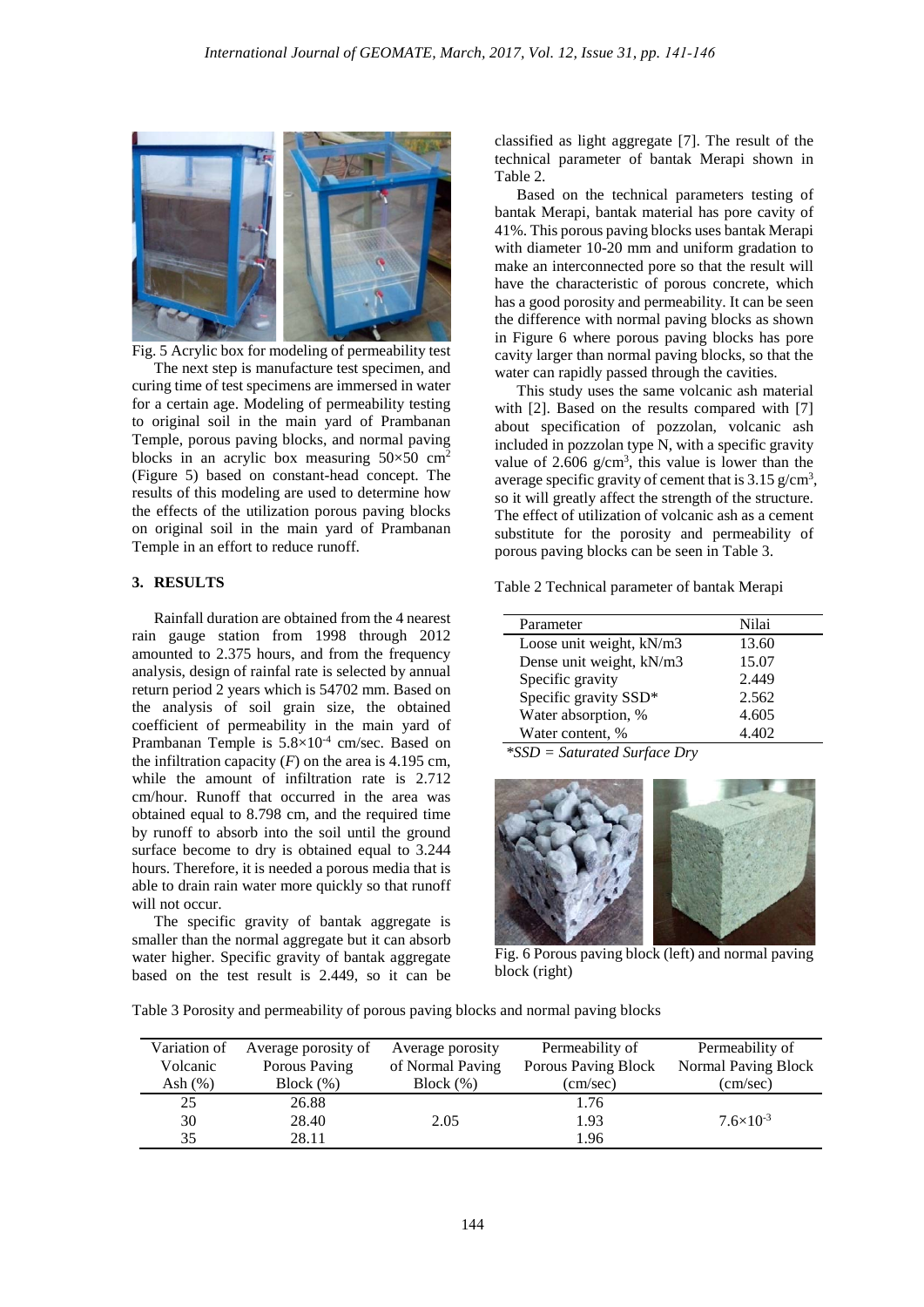

Fig. 5 Acrylic box for modeling of permeability test The next step is manufacture test specimen, and curing time of test specimens are immersed in water for a certain age. Modeling of permeability testing to original soil in the main yard of Prambanan Temple, porous paving blocks, and normal paving blocks in an acrylic box measuring  $50\times50$  cm<sup>2</sup> (Figure 5) based on constant-head concept. The results of this modeling are used to determine how the effects of the utilization porous paving blocks on original soil in the main yard of Prambanan Temple in an effort to reduce runoff.

### **3. RESULTS**

Rainfall duration are obtained from the 4 nearest rain gauge station from 1998 through 2012 amounted to 2.375 hours, and from the frequency analysis, design of rainfal rate is selected by annual return period 2 years which is 54702 mm. Based on the analysis of soil grain size, the obtained coefficient of permeability in the main yard of Prambanan Temple is  $5.8 \times 10^{-4}$  cm/sec. Based on the infiltration capacity  $(F)$  on the area is 4.195 cm, while the amount of infiltration rate is 2.712 cm/hour. Runoff that occurred in the area was obtained equal to 8.798 cm, and the required time by runoff to absorb into the soil until the ground surface become to dry is obtained equal to 3.244 hours. Therefore, it is needed a porous media that is able to drain rain water more quickly so that runoff will not occur.

The specific gravity of bantak aggregate is smaller than the normal aggregate but it can absorb water higher. Specific gravity of bantak aggregate based on the test result is 2.449, so it can be

classified as light aggregate [7]. The result of the technical parameter of bantak Merapi shown in Table 2.

Based on the technical parameters testing of bantak Merapi, bantak material has pore cavity of 41%. This porous paving blocks uses bantak Merapi with diameter 10-20 mm and uniform gradation to make an interconnected pore so that the result will have the characteristic of porous concrete, which has a good porosity and permeability. It can be seen the difference with normal paving blocks as shown in Figure 6 where porous paving blocks has pore cavity larger than normal paving blocks, so that the water can rapidly passed through the cavities.

This study uses the same volcanic ash material with [2]. Based on the results compared with [7] about specification of pozzolan, volcanic ash included in pozzolan type N, with a specific gravity value of 2.606  $g/cm<sup>3</sup>$ , this value is lower than the average specific gravity of cement that is  $3.15 \text{ g/cm}^3$ , so it will greatly affect the strength of the structure. The effect of utilization of volcanic ash as a cement substitute for the porosity and permeability of porous paving blocks can be seen in Table 3.

Table 2 Technical parameter of bantak Merapi

| Parameter                | Nilai |
|--------------------------|-------|
| Loose unit weight, kN/m3 | 13.60 |
| Dense unit weight, kN/m3 | 15.07 |
| Specific gravity         | 2.449 |
| Specific gravity SSD*    | 2.562 |
| Water absorption, %      | 4.605 |
| Water content, %         | 4.402 |

*\*SSD = Saturated Surface Dry*



Fig. 6 Porous paving block (left) and normal paving block (right)

Table 3 Porosity and permeability of porous paving blocks and normal paving blocks

| Variation of | Average porosity of | Average porosity | Permeability of     | Permeability of      |
|--------------|---------------------|------------------|---------------------|----------------------|
| Volcanic     | Porous Paving       | of Normal Paving | Porous Paving Block | Normal Paving Block  |
| Ash $(\%)$   | Block $(\%)$        | Block $(\%)$     | (cm/sec)            | (cm/sec)             |
| 25           | 26.88               |                  | 1.76                |                      |
| 30           | 28.40               | 2.05             | 1.93                | $7.6 \times 10^{-3}$ |
| 35           | 28.11               |                  | 1.96                |                      |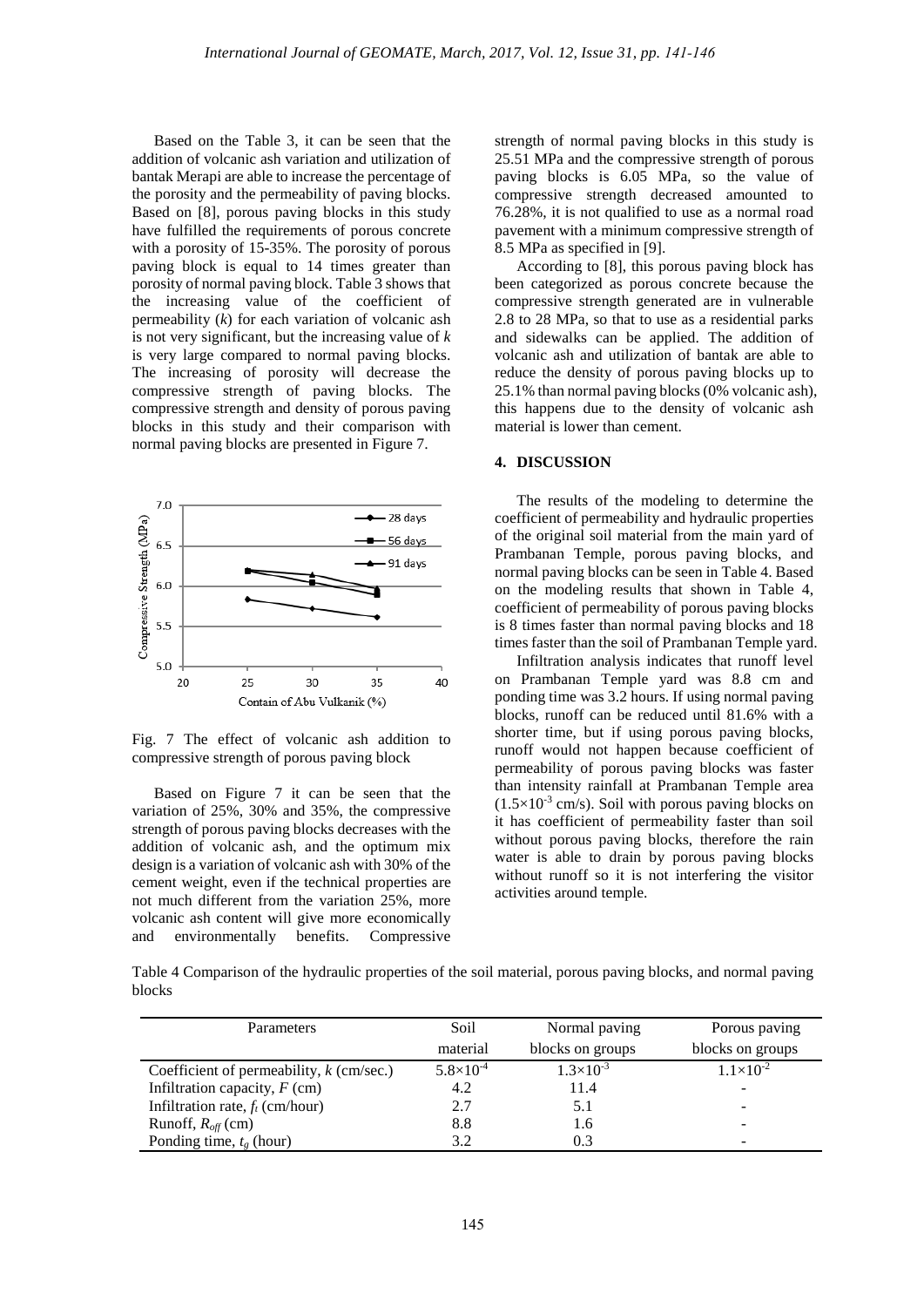Based on the Table 3, it can be seen that the addition of volcanic ash variation and utilization of bantak Merapi are able to increase the percentage of the porosity and the permeability of paving blocks. Based on [8], porous paving blocks in this study have fulfilled the requirements of porous concrete with a porosity of 15-35%. The porosity of porous paving block is equal to 14 times greater than porosity of normal paving block. Table 3 shows that the increasing value of the coefficient of permeability (*k*) for each variation of volcanic ash is not very significant, but the increasing value of *k* is very large compared to normal paving blocks. The increasing of porosity will decrease the compressive strength of paving blocks. The compressive strength and density of porous paving blocks in this study and their comparison with normal paving blocks are presented in Figure 7.



Fig. 7 The effect of volcanic ash addition to compressive strength of porous paving block

Based on Figure 7 it can be seen that the variation of 25%, 30% and 35%, the compressive strength of porous paving blocks decreases with the addition of volcanic ash, and the optimum mix design is a variation of volcanic ash with 30% of the cement weight, even if the technical properties are not much different from the variation 25%, more volcanic ash content will give more economically and environmentally benefits. Compressive strength of normal paving blocks in this study is 25.51 MPa and the compressive strength of porous paving blocks is 6.05 MPa, so the value of compressive strength decreased amounted to 76.28%, it is not qualified to use as a normal road pavement with a minimum compressive strength of 8.5 MPa as specified in [9].

According to [8], this porous paving block has been categorized as porous concrete because the compressive strength generated are in vulnerable 2.8 to 28 MPa, so that to use as a residential parks and sidewalks can be applied. The addition of volcanic ash and utilization of bantak are able to reduce the density of porous paving blocks up to 25.1% than normal paving blocks (0% volcanic ash), this happens due to the density of volcanic ash material is lower than cement.

## **4. DISCUSSION**

The results of the modeling to determine the coefficient of permeability and hydraulic properties of the original soil material from the main yard of Prambanan Temple, porous paving blocks, and normal paving blocks can be seen in Table 4. Based on the modeling results that shown in Table 4, coefficient of permeability of porous paving blocks is 8 times faster than normal paving blocks and 18 times faster than the soil of Prambanan Temple yard.

Infiltration analysis indicates that runoff level on Prambanan Temple yard was 8.8 cm and ponding time was 3.2 hours. If using normal paving blocks, runoff can be reduced until 81.6% with a shorter time, but if using porous paving blocks, runoff would not happen because coefficient of permeability of porous paving blocks was faster than intensity rainfall at Prambanan Temple area  $(1.5\times10^{-3}$  cm/s). Soil with porous paving blocks on it has coefficient of permeability faster than soil without porous paving blocks, therefore the rain water is able to drain by porous paving blocks without runoff so it is not interfering the visitor activities around temple.

Table 4 Comparison of the hydraulic properties of the soil material, porous paving blocks, and normal paving blocks

| Parameters                                 | Soil                 | Normal paving      | Porous paving            |
|--------------------------------------------|----------------------|--------------------|--------------------------|
|                                            | material             | blocks on groups   | blocks on groups         |
| Coefficient of permeability, $k$ (cm/sec.) | $5.8 \times 10^{-4}$ | $1.3\times10^{-3}$ | $1.1\times10^{-2}$       |
| Infiltration capacity, $F$ (cm)            | 4.2                  | 11.4               | $\overline{\phantom{0}}$ |
| Infiltration rate, $f_t$ (cm/hour)         | 2.7                  | 5.1                | $\overline{\phantom{0}}$ |
| Runoff, $R_{\text{off}}(cm)$               | 8.8                  | 1.6                | $\overline{\phantom{0}}$ |
| Ponding time, $t_g$ (hour)                 | 3.2                  | 0.3                | -                        |